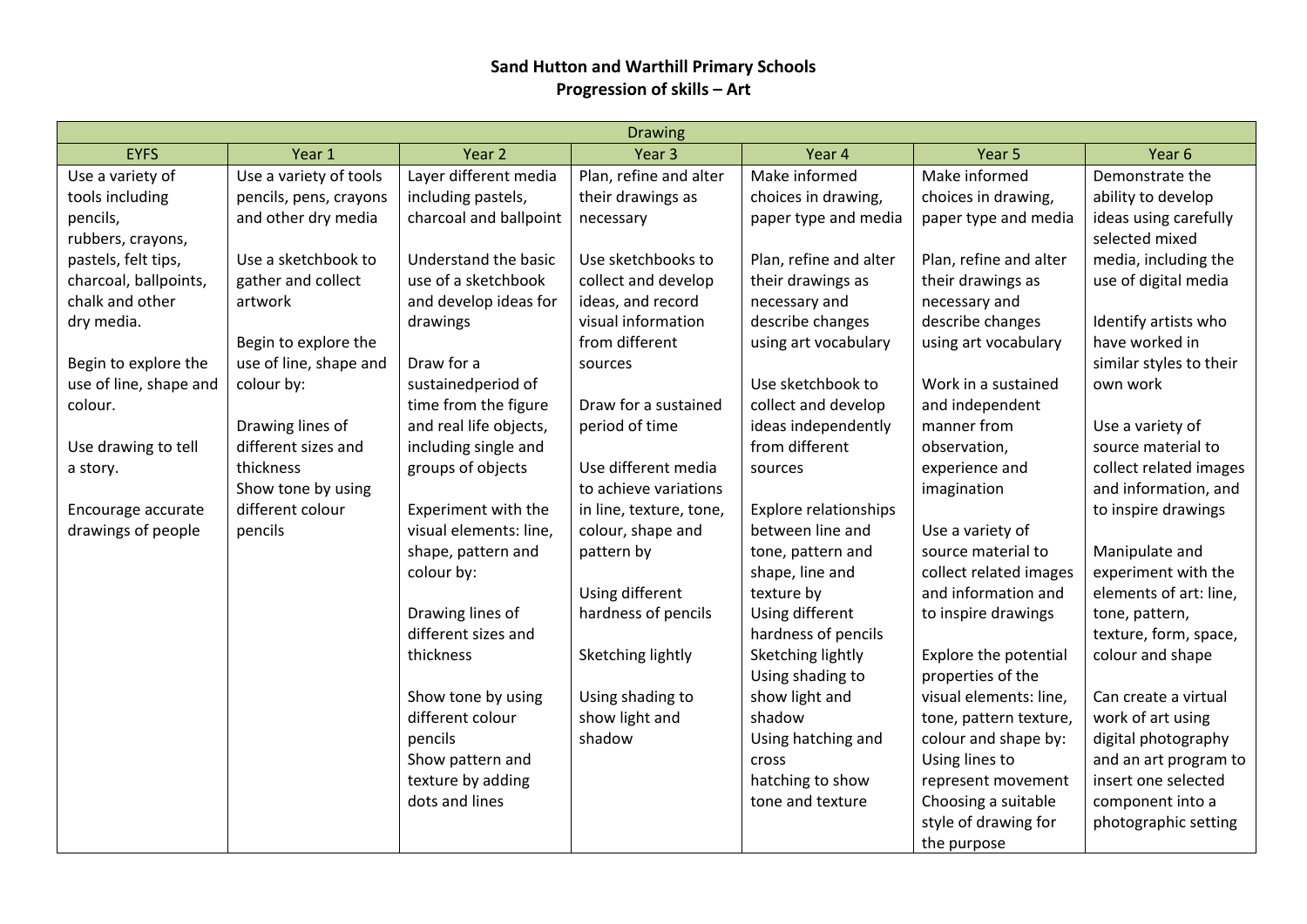## **Sand Hutton and Warthill Primary Schools Progression of skills – Art**

| <b>Drawing</b>         |                        |                        |                         |                              |                        |                         |  |
|------------------------|------------------------|------------------------|-------------------------|------------------------------|------------------------|-------------------------|--|
| <b>EYFS</b>            | Year 1                 | Year <sub>2</sub>      | Year <sub>3</sub>       | Year 4                       | Year 5                 | Year <sub>6</sub>       |  |
| Use a variety of       | Use a variety of tools | Layer different media  | Plan, refine and alter  | Make informed                | Make informed          | Demonstrate the         |  |
| tools including        | pencils, pens, crayons | including pastels,     | their drawings as       | choices in drawing,          | choices in drawing,    | ability to develop      |  |
| pencils,               | and other dry media    | charcoal and ballpoint | necessary               | paper type and media         | paper type and media   | ideas using carefully   |  |
| rubbers, crayons,      |                        |                        |                         |                              |                        | selected mixed          |  |
| pastels, felt tips,    | Use a sketchbook to    | Understand the basic   | Use sketchbooks to      | Plan, refine and alter       | Plan, refine and alter | media, including the    |  |
| charcoal, ballpoints,  | gather and collect     | use of a sketchbook    | collect and develop     | their drawings as            | their drawings as      | use of digital media    |  |
| chalk and other        | artwork                | and develop ideas for  | ideas, and record       | necessary and                | necessary and          |                         |  |
| dry media.             |                        | drawings               | visual information      | describe changes             | describe changes       | Identify artists who    |  |
|                        | Begin to explore the   |                        | from different          | using art vocabulary         | using art vocabulary   | have worked in          |  |
| Begin to explore the   | use of line, shape and | Draw for a             | sources                 |                              |                        | similar styles to their |  |
| use of line, shape and | colour by:             | sustainedperiod of     |                         | Use sketchbook to            | Work in a sustained    | own work                |  |
| colour.                |                        | time from the figure   | Draw for a sustained    | collect and develop          | and independent        |                         |  |
|                        | Drawing lines of       | and real life objects, | period of time          | ideas independently          | manner from            | Use a variety of        |  |
| Use drawing to tell    | different sizes and    | including single and   |                         | from different               | observation,           | source material to      |  |
| a story.               | thickness              | groups of objects      | Use different media     | sources                      | experience and         | collect related images  |  |
|                        | Show tone by using     |                        | to achieve variations   |                              | imagination            | and information, and    |  |
| Encourage accurate     | different colour       | Experiment with the    | in line, texture, tone, | <b>Explore relationships</b> |                        | to inspire drawings     |  |
| drawings of people     | pencils                | visual elements: line, | colour, shape and       | between line and             | Use a variety of       |                         |  |
|                        |                        | shape, pattern and     | pattern by              | tone, pattern and            | source material to     | Manipulate and          |  |
|                        |                        | colour by:             |                         | shape, line and              | collect related images | experiment with the     |  |
|                        |                        |                        | Using different         | texture by                   | and information and    | elements of art: line,  |  |
|                        |                        | Drawing lines of       | hardness of pencils     | Using different              | to inspire drawings    | tone, pattern,          |  |
|                        |                        | different sizes and    |                         | hardness of pencils          |                        | texture, form, space,   |  |
|                        |                        | thickness              | Sketching lightly       | Sketching lightly            | Explore the potential  | colour and shape        |  |
|                        |                        |                        |                         | Using shading to             | properties of the      |                         |  |
|                        |                        | Show tone by using     | Using shading to        | show light and               | visual elements: line, | Can create a virtual    |  |
|                        |                        | different colour       | show light and          | shadow                       | tone, pattern texture, | work of art using       |  |
|                        |                        | pencils                | shadow                  | Using hatching and           | colour and shape by:   | digital photography     |  |
|                        |                        | Show pattern and       |                         | cross                        | Using lines to         | and an art program to   |  |
|                        |                        | texture by adding      |                         | hatching to show             | represent movement     | insert one selected     |  |
|                        |                        | dots and lines         |                         | tone and texture             | Choosing a suitable    | component into a        |  |
|                        |                        |                        |                         |                              | style of drawing for   | photographic setting    |  |
|                        |                        |                        |                         |                              | the purpose            |                         |  |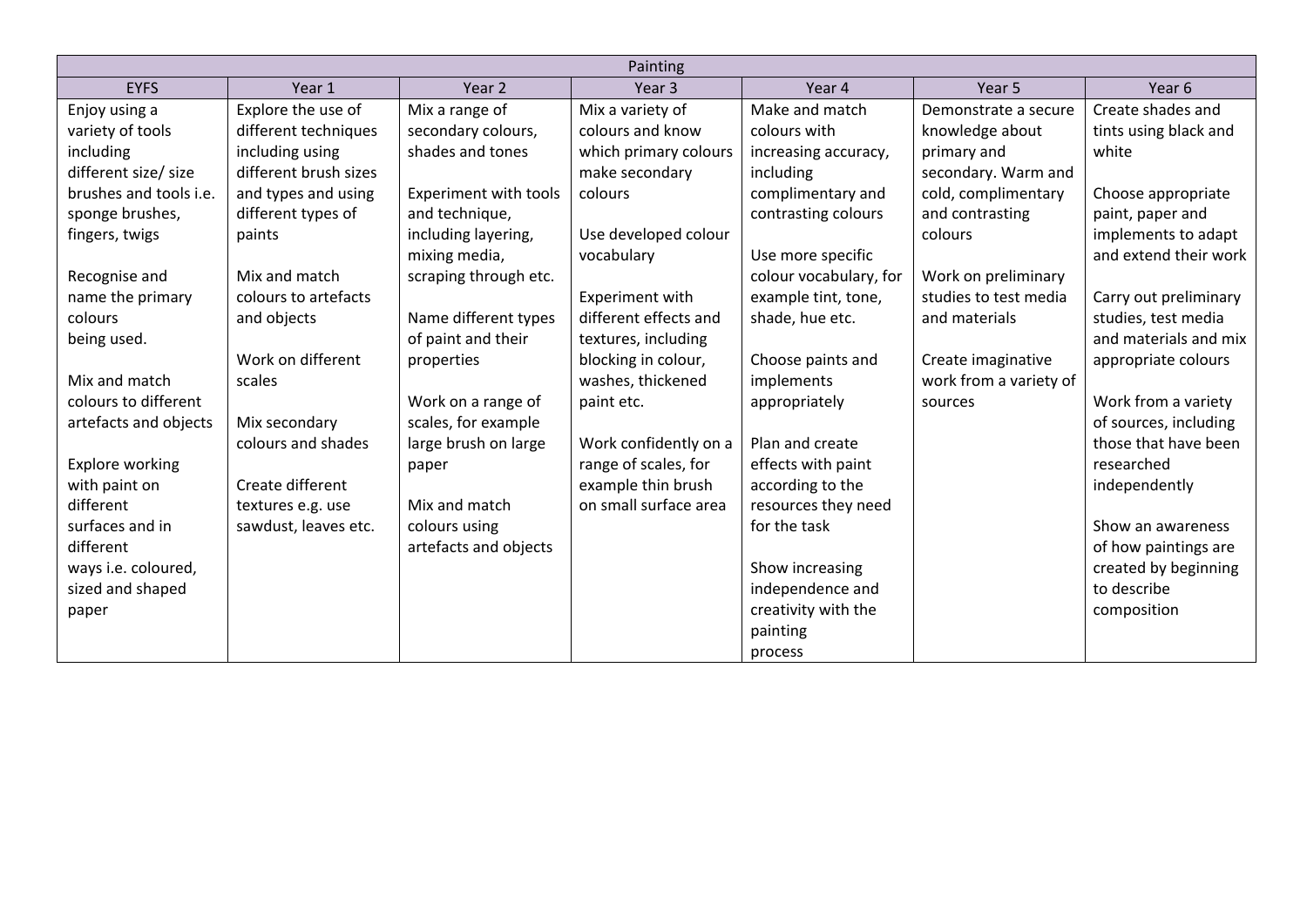|                        | Painting              |                       |                       |                        |                        |                       |  |
|------------------------|-----------------------|-----------------------|-----------------------|------------------------|------------------------|-----------------------|--|
| <b>EYFS</b>            | Year 1                | Year 2                | Year <sub>3</sub>     | Year 4                 | Year 5                 | Year 6                |  |
| Enjoy using a          | Explore the use of    | Mix a range of        | Mix a variety of      | Make and match         | Demonstrate a secure   | Create shades and     |  |
| variety of tools       | different techniques  | secondary colours,    | colours and know      | colours with           | knowledge about        | tints using black and |  |
| including              | including using       | shades and tones      | which primary colours | increasing accuracy,   | primary and            | white                 |  |
| different size/ size   | different brush sizes |                       | make secondary        | including              | secondary. Warm and    |                       |  |
| brushes and tools i.e. | and types and using   | Experiment with tools | colours               | complimentary and      | cold, complimentary    | Choose appropriate    |  |
| sponge brushes,        | different types of    | and technique,        |                       | contrasting colours    | and contrasting        | paint, paper and      |  |
| fingers, twigs         | paints                | including layering,   | Use developed colour  |                        | colours                | implements to adapt   |  |
|                        |                       | mixing media,         | vocabulary            | Use more specific      |                        | and extend their work |  |
| Recognise and          | Mix and match         | scraping through etc. |                       | colour vocabulary, for | Work on preliminary    |                       |  |
| name the primary       | colours to artefacts  |                       | Experiment with       | example tint, tone,    | studies to test media  | Carry out preliminary |  |
| colours                | and objects           | Name different types  | different effects and | shade, hue etc.        | and materials          | studies, test media   |  |
| being used.            |                       | of paint and their    | textures, including   |                        |                        | and materials and mix |  |
|                        | Work on different     | properties            | blocking in colour,   | Choose paints and      | Create imaginative     | appropriate colours   |  |
| Mix and match          | scales                |                       | washes, thickened     | implements             | work from a variety of |                       |  |
| colours to different   |                       | Work on a range of    | paint etc.            | appropriately          | sources                | Work from a variety   |  |
| artefacts and objects  | Mix secondary         | scales, for example   |                       |                        |                        | of sources, including |  |
|                        | colours and shades    | large brush on large  | Work confidently on a | Plan and create        |                        | those that have been  |  |
| Explore working        |                       | paper                 | range of scales, for  | effects with paint     |                        | researched            |  |
| with paint on          | Create different      |                       | example thin brush    | according to the       |                        | independently         |  |
| different              | textures e.g. use     | Mix and match         | on small surface area | resources they need    |                        |                       |  |
| surfaces and in        | sawdust, leaves etc.  | colours using         |                       | for the task           |                        | Show an awareness     |  |
| different              |                       | artefacts and objects |                       |                        |                        | of how paintings are  |  |
| ways i.e. coloured,    |                       |                       |                       | Show increasing        |                        | created by beginning  |  |
| sized and shaped       |                       |                       |                       | independence and       |                        | to describe           |  |
| paper                  |                       |                       |                       | creativity with the    |                        | composition           |  |
|                        |                       |                       |                       | painting               |                        |                       |  |
|                        |                       |                       |                       | process                |                        |                       |  |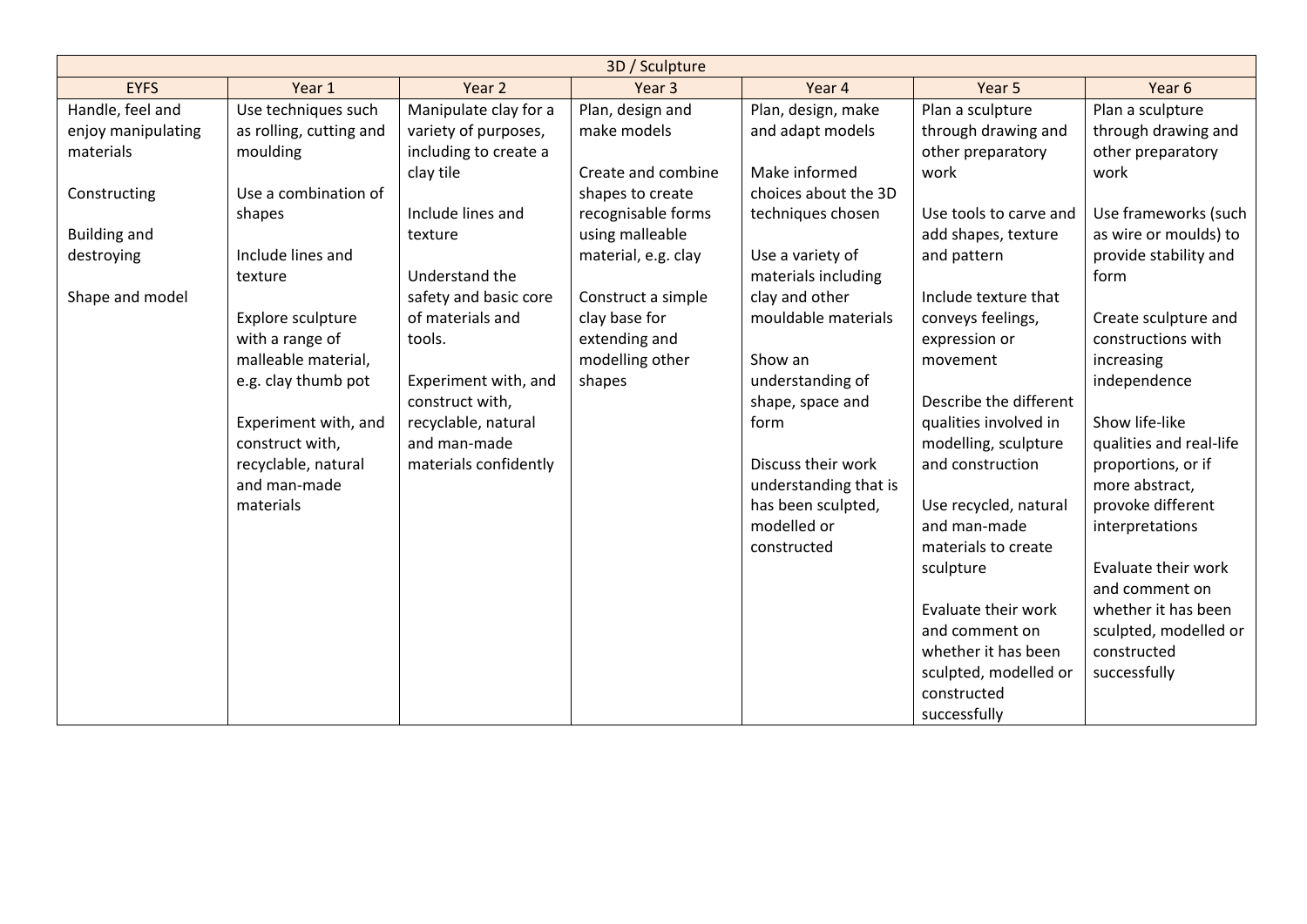|                     |                         |                       | 3D / Sculpture      |                       |                        |                         |
|---------------------|-------------------------|-----------------------|---------------------|-----------------------|------------------------|-------------------------|
| <b>EYFS</b>         | Year 1                  | Year 2                | Year <sub>3</sub>   | Year 4                | Year 5                 | Year 6                  |
| Handle, feel and    | Use techniques such     | Manipulate clay for a | Plan, design and    | Plan, design, make    | Plan a sculpture       | Plan a sculpture        |
| enjoy manipulating  | as rolling, cutting and | variety of purposes,  | make models         | and adapt models      | through drawing and    | through drawing and     |
| materials           | moulding                | including to create a |                     |                       | other preparatory      | other preparatory       |
|                     |                         | clay tile             | Create and combine  | Make informed         | work                   | work                    |
| Constructing        | Use a combination of    |                       | shapes to create    | choices about the 3D  |                        |                         |
|                     | shapes                  | Include lines and     | recognisable forms  | techniques chosen     | Use tools to carve and | Use frameworks (such    |
| <b>Building and</b> |                         | texture               | using malleable     |                       | add shapes, texture    | as wire or moulds) to   |
| destroying          | Include lines and       |                       | material, e.g. clay | Use a variety of      | and pattern            | provide stability and   |
|                     | texture                 | Understand the        |                     | materials including   |                        | form                    |
| Shape and model     |                         | safety and basic core | Construct a simple  | clay and other        | Include texture that   |                         |
|                     | Explore sculpture       | of materials and      | clay base for       | mouldable materials   | conveys feelings,      | Create sculpture and    |
|                     | with a range of         | tools.                | extending and       |                       | expression or          | constructions with      |
|                     | malleable material,     |                       | modelling other     | Show an               | movement               | increasing              |
|                     | e.g. clay thumb pot     | Experiment with, and  | shapes              | understanding of      |                        | independence            |
|                     |                         | construct with,       |                     | shape, space and      | Describe the different |                         |
|                     | Experiment with, and    | recyclable, natural   |                     | form                  | qualities involved in  | Show life-like          |
|                     | construct with,         | and man-made          |                     |                       | modelling, sculpture   | qualities and real-life |
|                     | recyclable, natural     | materials confidently |                     | Discuss their work    | and construction       | proportions, or if      |
|                     | and man-made            |                       |                     | understanding that is |                        | more abstract,          |
|                     | materials               |                       |                     | has been sculpted,    | Use recycled, natural  | provoke different       |
|                     |                         |                       |                     | modelled or           | and man-made           | interpretations         |
|                     |                         |                       |                     | constructed           | materials to create    |                         |
|                     |                         |                       |                     |                       | sculpture              | Evaluate their work     |
|                     |                         |                       |                     |                       |                        | and comment on          |
|                     |                         |                       |                     |                       | Evaluate their work    | whether it has been     |
|                     |                         |                       |                     |                       | and comment on         | sculpted, modelled or   |
|                     |                         |                       |                     |                       | whether it has been    | constructed             |
|                     |                         |                       |                     |                       | sculpted, modelled or  | successfully            |
|                     |                         |                       |                     |                       | constructed            |                         |
|                     |                         |                       |                     |                       | successfully           |                         |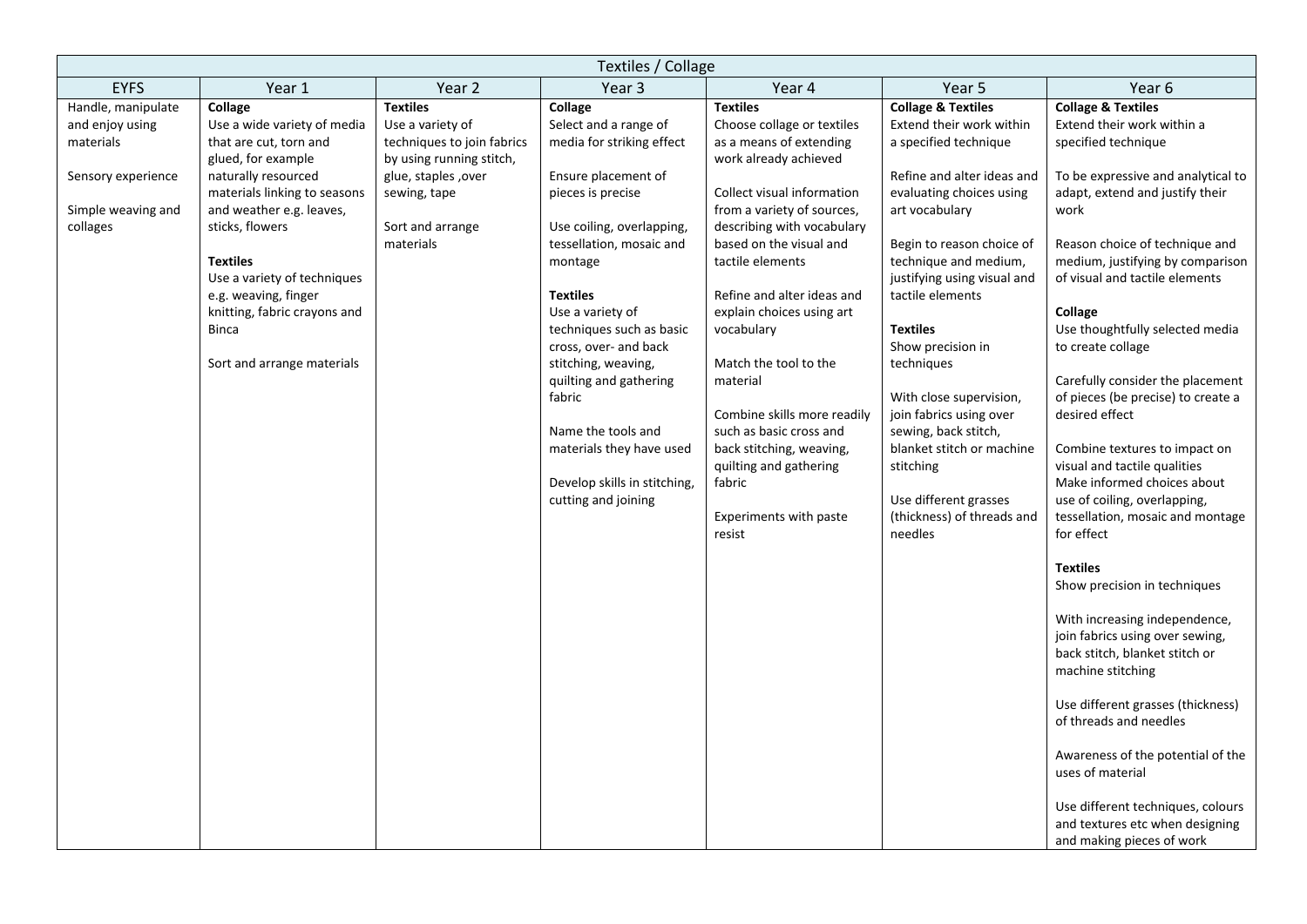| Textiles / Collage                                                                                         |                                                                                                                                                                                                                                                                                                                                                      |                                                                                                                                                                       |                                                                                                                                                                                                                                                                                                                                      |                                                                                                                                                                                                                                                                                                                                                                                         |                                                                                                                                                                                                                                                                                                                                                                                     |                                                                                                                                                                                                                                                                                                                                                                                                                                            |  |
|------------------------------------------------------------------------------------------------------------|------------------------------------------------------------------------------------------------------------------------------------------------------------------------------------------------------------------------------------------------------------------------------------------------------------------------------------------------------|-----------------------------------------------------------------------------------------------------------------------------------------------------------------------|--------------------------------------------------------------------------------------------------------------------------------------------------------------------------------------------------------------------------------------------------------------------------------------------------------------------------------------|-----------------------------------------------------------------------------------------------------------------------------------------------------------------------------------------------------------------------------------------------------------------------------------------------------------------------------------------------------------------------------------------|-------------------------------------------------------------------------------------------------------------------------------------------------------------------------------------------------------------------------------------------------------------------------------------------------------------------------------------------------------------------------------------|--------------------------------------------------------------------------------------------------------------------------------------------------------------------------------------------------------------------------------------------------------------------------------------------------------------------------------------------------------------------------------------------------------------------------------------------|--|
| <b>EYFS</b>                                                                                                | Year 1                                                                                                                                                                                                                                                                                                                                               | Year <sub>2</sub>                                                                                                                                                     | Year 3                                                                                                                                                                                                                                                                                                                               | Year 4                                                                                                                                                                                                                                                                                                                                                                                  | Year 5                                                                                                                                                                                                                                                                                                                                                                              | Year 6                                                                                                                                                                                                                                                                                                                                                                                                                                     |  |
| Handle, manipulate<br>and enjoy using<br>materials<br>Sensory experience<br>Simple weaving and<br>collages | Collage<br>Use a wide variety of media<br>that are cut, torn and<br>glued, for example<br>naturally resourced<br>materials linking to seasons<br>and weather e.g. leaves,<br>sticks, flowers<br><b>Textiles</b><br>Use a variety of techniques<br>e.g. weaving, finger<br>knitting, fabric crayons and<br><b>Binca</b><br>Sort and arrange materials | <b>Textiles</b><br>Use a variety of<br>techniques to join fabrics<br>by using running stitch,<br>glue, staples, over<br>sewing, tape<br>Sort and arrange<br>materials | Collage<br>Select and a range of<br>media for striking effect<br>Ensure placement of<br>pieces is precise<br>Use coiling, overlapping,<br>tessellation, mosaic and<br>montage<br><b>Textiles</b><br>Use a variety of<br>techniques such as basic<br>cross, over- and back<br>stitching, weaving,<br>quilting and gathering<br>fabric | <b>Textiles</b><br>Choose collage or textiles<br>as a means of extending<br>work already achieved<br>Collect visual information<br>from a variety of sources,<br>describing with vocabulary<br>based on the visual and<br>tactile elements<br>Refine and alter ideas and<br>explain choices using art<br>vocabulary<br>Match the tool to the<br>material<br>Combine skills more readily | <b>Collage &amp; Textiles</b><br>Extend their work within<br>a specified technique<br>Refine and alter ideas and<br>evaluating choices using<br>art vocabulary<br>Begin to reason choice of<br>technique and medium,<br>justifying using visual and<br>tactile elements<br><b>Textiles</b><br>Show precision in<br>techniques<br>With close supervision,<br>join fabrics using over | <b>Collage &amp; Textiles</b><br>Extend their work within a<br>specified technique<br>To be expressive and analytical to<br>adapt, extend and justify their<br>work<br>Reason choice of technique and<br>medium, justifying by comparison<br>of visual and tactile elements<br>Collage<br>Use thoughtfully selected media<br>to create collage<br>Carefully consider the placement<br>of pieces (be precise) to create a<br>desired effect |  |
|                                                                                                            |                                                                                                                                                                                                                                                                                                                                                      |                                                                                                                                                                       | Name the tools and<br>materials they have used<br>Develop skills in stitching,<br>cutting and joining                                                                                                                                                                                                                                | such as basic cross and<br>back stitching, weaving,<br>quilting and gathering<br>fabric<br>Experiments with paste<br>resist                                                                                                                                                                                                                                                             | sewing, back stitch,<br>blanket stitch or machine<br>stitching<br>Use different grasses<br>(thickness) of threads and<br>needles                                                                                                                                                                                                                                                    | Combine textures to impact on<br>visual and tactile qualities<br>Make informed choices about<br>use of coiling, overlapping,<br>tessellation, mosaic and montage<br>for effect                                                                                                                                                                                                                                                             |  |
|                                                                                                            |                                                                                                                                                                                                                                                                                                                                                      |                                                                                                                                                                       |                                                                                                                                                                                                                                                                                                                                      |                                                                                                                                                                                                                                                                                                                                                                                         |                                                                                                                                                                                                                                                                                                                                                                                     | <b>Textiles</b><br>Show precision in techniques<br>With increasing independence,<br>join fabrics using over sewing,<br>back stitch, blanket stitch or<br>machine stitching                                                                                                                                                                                                                                                                 |  |
|                                                                                                            |                                                                                                                                                                                                                                                                                                                                                      |                                                                                                                                                                       |                                                                                                                                                                                                                                                                                                                                      |                                                                                                                                                                                                                                                                                                                                                                                         |                                                                                                                                                                                                                                                                                                                                                                                     | Use different grasses (thickness)<br>of threads and needles<br>Awareness of the potential of the<br>uses of material<br>Use different techniques, colours<br>and textures etc when designing<br>and making pieces of work                                                                                                                                                                                                                  |  |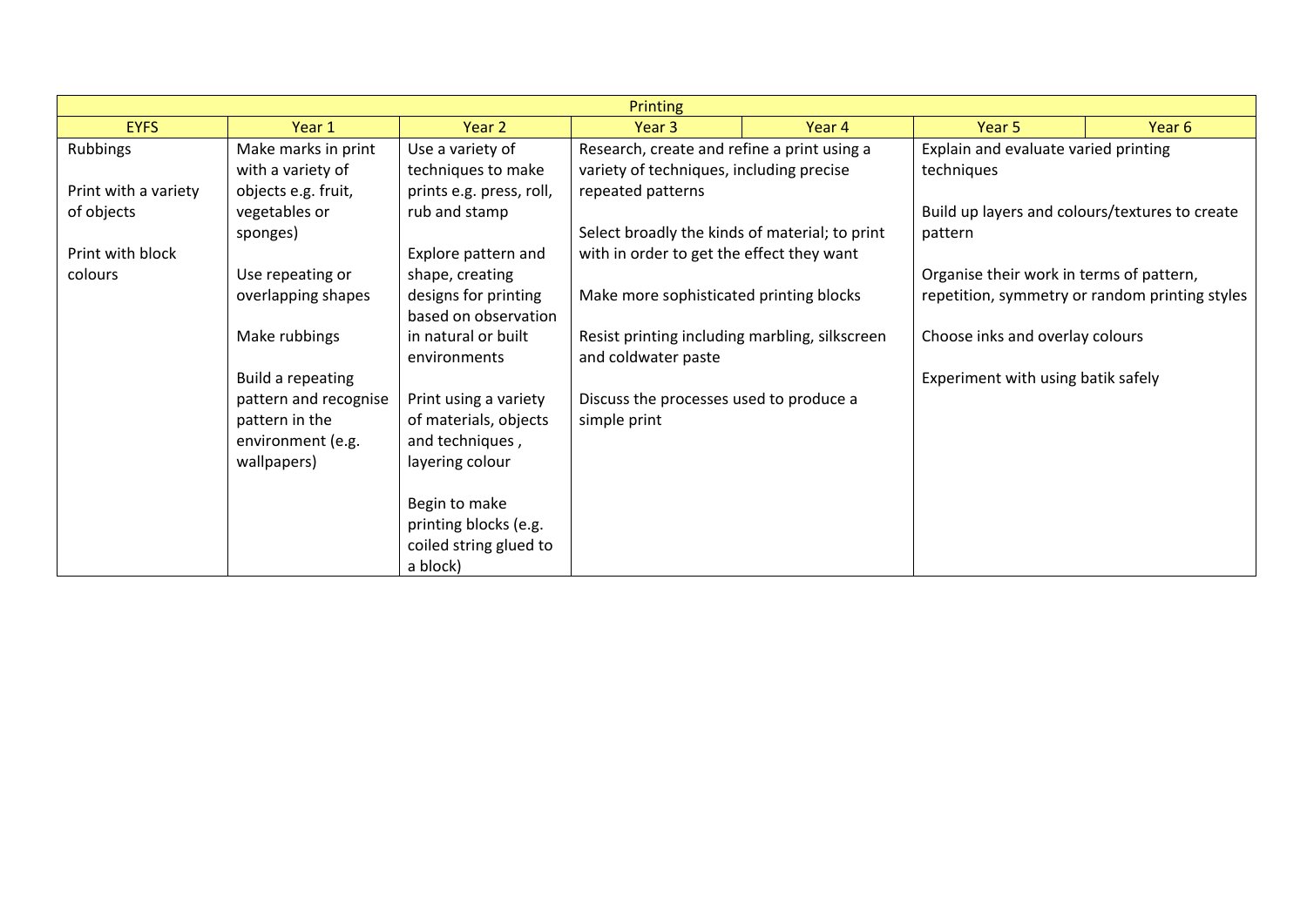| <b>Printing</b>             |                                          |                                                 |                                                                                         |        |                                                           |                                                |
|-----------------------------|------------------------------------------|-------------------------------------------------|-----------------------------------------------------------------------------------------|--------|-----------------------------------------------------------|------------------------------------------------|
| <b>EYFS</b>                 | Year 1                                   | Year 2                                          | Year 3                                                                                  | Year 4 | Year 5                                                    | Year <sub>6</sub>                              |
| <b>Rubbings</b>             | Make marks in print<br>with a variety of | Use a variety of<br>techniques to make          | Research, create and refine a print using a<br>variety of techniques, including precise |        | Explain and evaluate varied printing<br>techniques        |                                                |
| Print with a variety        | objects e.g. fruit,                      | prints e.g. press, roll,                        | repeated patterns                                                                       |        |                                                           |                                                |
| of objects                  | vegetables or<br>sponges)                | rub and stamp                                   | Select broadly the kinds of material; to print                                          |        | Build up layers and colours/textures to create<br>pattern |                                                |
| Print with block<br>colours | Use repeating or                         | Explore pattern and<br>shape, creating          | with in order to get the effect they want                                               |        | Organise their work in terms of pattern,                  |                                                |
|                             | overlapping shapes                       | designs for printing<br>based on observation    | Make more sophisticated printing blocks                                                 |        |                                                           | repetition, symmetry or random printing styles |
|                             | Make rubbings                            | in natural or built<br>environments             | Resist printing including marbling, silkscreen<br>and coldwater paste                   |        | Choose inks and overlay colours                           |                                                |
|                             | Build a repeating                        |                                                 |                                                                                         |        | Experiment with using batik safely                        |                                                |
|                             | pattern and recognise                    | Print using a variety                           | Discuss the processes used to produce a                                                 |        |                                                           |                                                |
|                             | pattern in the<br>environment (e.g.      | of materials, objects<br>and techniques,        | simple print                                                                            |        |                                                           |                                                |
|                             | wallpapers)                              | layering colour                                 |                                                                                         |        |                                                           |                                                |
|                             |                                          | Begin to make                                   |                                                                                         |        |                                                           |                                                |
|                             |                                          | printing blocks (e.g.<br>coiled string glued to |                                                                                         |        |                                                           |                                                |
|                             |                                          | a block)                                        |                                                                                         |        |                                                           |                                                |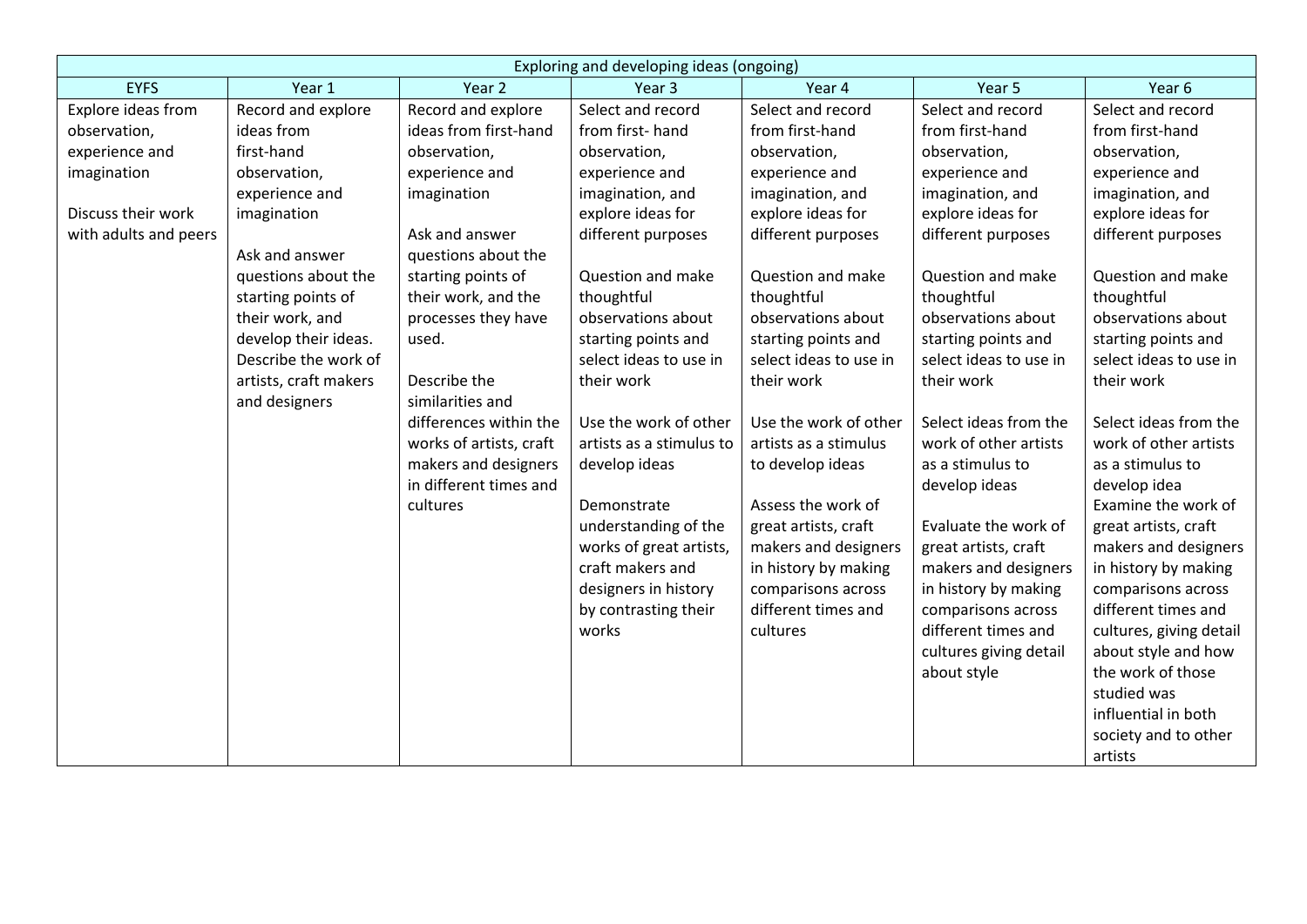|                       |                       |                                                | Exploring and developing ideas (ongoing)        |                                              |                        |                                              |
|-----------------------|-----------------------|------------------------------------------------|-------------------------------------------------|----------------------------------------------|------------------------|----------------------------------------------|
| <b>EYFS</b>           | Year 1                | Year 2                                         | Year <sub>3</sub>                               | Year 4                                       | Year <sub>5</sub>      | Year 6                                       |
| Explore ideas from    | Record and explore    | Record and explore                             | Select and record                               | Select and record                            | Select and record      | Select and record                            |
| observation,          | ideas from            | ideas from first-hand                          | from first-hand                                 | from first-hand                              | from first-hand        | from first-hand                              |
| experience and        | first-hand            | observation,                                   | observation,                                    | observation,                                 | observation,           | observation,                                 |
| imagination           | observation,          | experience and                                 | experience and                                  | experience and                               | experience and         | experience and                               |
|                       | experience and        | imagination                                    | imagination, and                                | imagination, and                             | imagination, and       | imagination, and                             |
| Discuss their work    | imagination           |                                                | explore ideas for                               | explore ideas for                            | explore ideas for      | explore ideas for                            |
| with adults and peers |                       | Ask and answer                                 | different purposes                              | different purposes                           | different purposes     | different purposes                           |
|                       | Ask and answer        | questions about the                            |                                                 |                                              |                        |                                              |
|                       | questions about the   | starting points of                             | Question and make                               | Question and make                            | Question and make      | Question and make                            |
|                       | starting points of    | their work, and the                            | thoughtful                                      | thoughtful                                   | thoughtful             | thoughtful                                   |
|                       | their work, and       | processes they have                            | observations about                              | observations about                           | observations about     | observations about                           |
|                       | develop their ideas.  | used.                                          | starting points and                             | starting points and                          | starting points and    | starting points and                          |
|                       | Describe the work of  |                                                | select ideas to use in                          | select ideas to use in                       | select ideas to use in | select ideas to use in                       |
|                       | artists, craft makers | Describe the                                   | their work                                      | their work                                   | their work             | their work                                   |
|                       | and designers         | similarities and                               |                                                 |                                              |                        |                                              |
|                       |                       | differences within the                         | Use the work of other                           | Use the work of other                        | Select ideas from the  | Select ideas from the                        |
|                       |                       | works of artists, craft                        | artists as a stimulus to                        | artists as a stimulus                        | work of other artists  | work of other artists                        |
|                       |                       | makers and designers<br>in different times and | develop ideas                                   | to develop ideas                             | as a stimulus to       | as a stimulus to                             |
|                       |                       |                                                |                                                 | Assess the work of                           | develop ideas          | develop idea<br>Examine the work of          |
|                       |                       | cultures                                       | Demonstrate                                     |                                              | Evaluate the work of   |                                              |
|                       |                       |                                                | understanding of the<br>works of great artists, | great artists, craft<br>makers and designers | great artists, craft   | great artists, craft<br>makers and designers |
|                       |                       |                                                | craft makers and                                | in history by making                         | makers and designers   | in history by making                         |
|                       |                       |                                                | designers in history                            | comparisons across                           | in history by making   | comparisons across                           |
|                       |                       |                                                | by contrasting their                            | different times and                          | comparisons across     | different times and                          |
|                       |                       |                                                | works                                           | cultures                                     | different times and    | cultures, giving detail                      |
|                       |                       |                                                |                                                 |                                              | cultures giving detail | about style and how                          |
|                       |                       |                                                |                                                 |                                              | about style            | the work of those                            |
|                       |                       |                                                |                                                 |                                              |                        | studied was                                  |
|                       |                       |                                                |                                                 |                                              |                        | influential in both                          |
|                       |                       |                                                |                                                 |                                              |                        | society and to other                         |
|                       |                       |                                                |                                                 |                                              |                        | artists                                      |